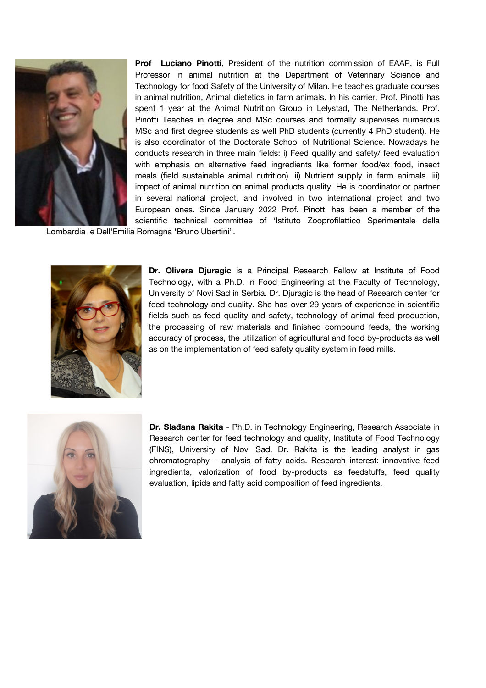

**Prof Luciano Pinotti**, President of the nutrition commission of EAAP, is Full Professor in animal nutrition at the Department of Veterinary Science and Technology for food Safety of the University of Milan. He teaches graduate courses in animal nutrition, Animal dietetics in farm animals. In his carrier, Prof. Pinotti has spent 1 year at the Animal Nutrition Group in Lelystad, The Netherlands. Prof. Pinotti Teaches in degree and MSc courses and formally supervises numerous MSc and first degree students as well PhD students (currently 4 PhD student). He is also coordinator of the Doctorate School of Nutritional Science. Nowadays he conducts research in three main fields: i) Feed quality and safety/ feed evaluation with emphasis on alternative feed ingredients like former food/ex food, insect meals (field sustainable animal nutrition). ii) Nutrient supply in farm animals. iii) impact of animal nutrition on animal products quality. He is coordinator or partner in several national project, and involved in two international project and two European ones. Since January 2022 Prof. Pinotti has been a member of the scientific technical committee of 'Istituto Zooprofilattico Sperimentale della

Lombardia e Dell'Emilia Romagna 'Bruno Ubertini".



**Dr. Olivera Djuragic** is a Principal Research Fellow at Institute of Food Technology, with a Ph.D. in Food Engineering at the Faculty of Technology, University of Novi Sad in Serbia. Dr. Djuragic is the head of Research center for feed technology and quality. She has over 29 years of experience in scientific fields such as feed quality and safety, technology of animal feed production, the processing of raw materials and finished compound feeds, the working accuracy of process, the utilization of agricultural and food by-products as well as on the implementation of feed safety quality system in feed mills.



**Dr. Slađana Rakita** - Ph.D. in Technology Engineering, Research Associate in Research center for feed technology and quality, Institute of Food Technology (FINS), University of Novi Sad. Dr. Rakita is the leading analyst in gas chromatography – analysis of fatty acids. Research interest: innovative feed ingredients, valorization of food by-products as feedstuffs, feed quality evaluation, lipids and fatty acid composition of feed ingredients.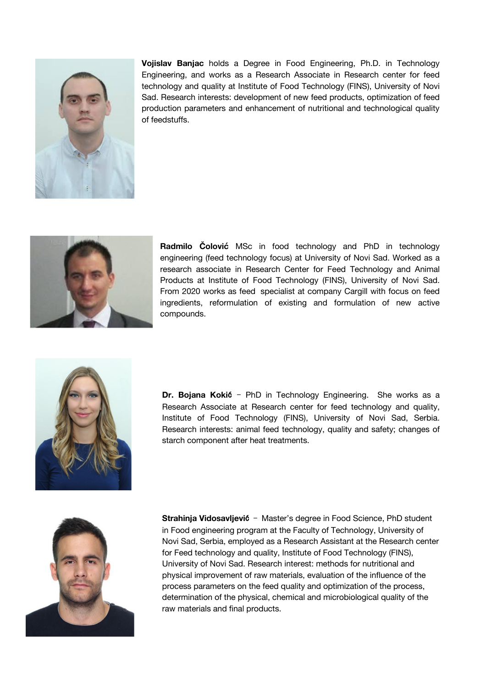

**Vojislav Banjac** holds a Degree in Food Engineering, Ph.D. in Technology Engineering, and works as a Research Associate in Research center for feed technology and quality at Institute of Food Technology (FINS), University of Novi Sad. Research interests: development of new feed products, optimization of feed production parameters and enhancement of nutritional and technological quality of feedstuffs.



**Radmilo Čolović** MSc in food technology and PhD in technology engineering (feed technology focus) at University of Novi Sad. Worked as a research associate in Research Center for Feed Technology and Animal Products at Institute of Food Technology (FINS), University of Novi Sad. From 2020 works as feed specialist at company Cargill with focus on feed ingredients, reformulation of existing and formulation of new active compounds.



**Dr. Bojana Koki**ć - PhD in Technology Engineering. She works as a Research Associate at Research center for feed technology and quality, Institute of Food Technology (FINS), University of Novi Sad, Serbia. Research interests: animal feed technology, quality and safety; changes of starch component after heat treatments.



**Strahinja Vidosavljević** - Master's degree in Food Science, PhD student in Food engineering program at the Faculty of Technology, University of Novi Sad, Serbia, employed as a Research Assistant at the Research center for Feed technology and quality, Institute of Food Technology (FINS), University of Novi Sad. Research interest: methods for nutritional and physical improvement of raw materials, evaluation of the influence of the process parameters on the feed quality and optimization of the process, determination of the physical, chemical and microbiological quality of the raw materials and final products.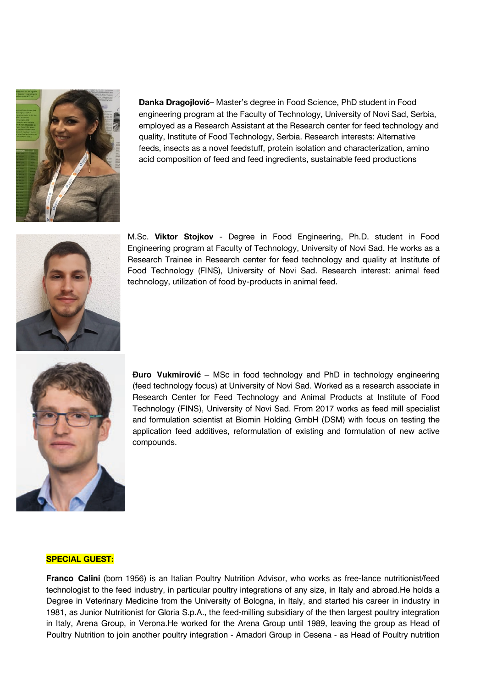

**Danka Dragojlovi**ć– Master's degree in Food Science, PhD student in Food engineering program at the Faculty of Technology, University of Novi Sad, Serbia, employed as a Research Assistant at the Research center for feed technology and quality, Institute of Food Technology, Serbia. Research interests: Alternative feeds, insects as a novel feedstuff, protein isolation and characterization, amino acid composition of feed and feed ingredients, sustainable feed productions



M.Sc. **Viktor Stojkov** - Degree in Food Engineering, Ph.D. student in Food Engineering program at Faculty of Technology, University of Novi Sad. He works as a Research Trainee in Research center for feed technology and quality at Institute of Food Technology (FINS), University of Novi Sad. Research interest: animal feed technology, utilization of food by-products in animal feed.



**Đuro Vukmirović** – MSc in food technology and PhD in technology engineering (feed technology focus) at University of Novi Sad. Worked as a research associate in Research Center for Feed Technology and Animal Products at Institute of Food Technology (FINS), University of Novi Sad. From 2017 works as feed mill specialist and formulation scientist at Biomin Holding GmbH (DSM) with focus on testing the application feed additives, reformulation of existing and formulation of new active compounds.

## **SPECIAL GUEST:**

**Franco Calini** (born 1956) is an Italian Poultry Nutrition Advisor, who works as free-lance nutritionist/feed technologist to the feed industry, in particular poultry integrations of any size, in Italy and abroad.He holds a Degree in Veterinary Medicine from the University of Bologna, in Italy, and started his career in industry in 1981, as Junior Nutritionist for Gloria S.p.A., the feed-milling subsidiary of the then largest poultry integration in Italy, Arena Group, in Verona.He worked for the Arena Group until 1989, leaving the group as Head of Poultry Nutrition to join another poultry integration - Amadori Group in Cesena - as Head of Poultry nutrition